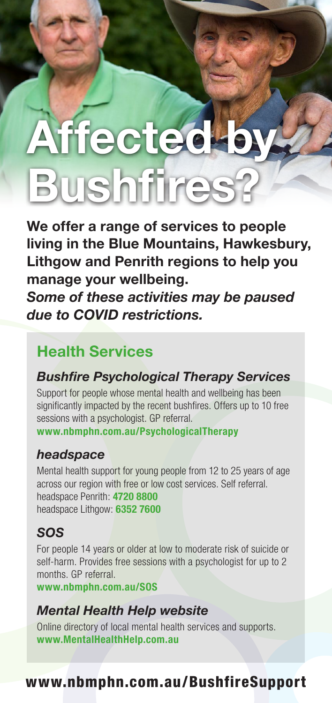# Affected b **Bushfires**

We offer a range of services to people living in the Blue Mountains, Hawkesbury, Lithgow and Penrith regions to help you manage your wellbeing.

Some of these activities may be paused due to COVID restrictions.

## Health Services

### Bushfire Psychological Therapy Services

Support for people whose mental health and wellbeing has been significantly impacted by the recent bushfires. Offers up to 10 free sessions with a psychologist. GP referral. www.nbmphn.com.au/PsychologicalTherapy

#### headspace

Mental health support for young people from 12 to 25 years of age across our region with free or low cost services. Self referral. headspace Penrith: 4720 8800 headspace Lithgow: 6352 7600

### SOS

For people 14 years or older at low to moderate risk of suicide or self-harm. Provides free sessions with a psychologist for up to 2 months. GP referral.

www.nbmphn.com.au/SOS

#### Mental Health Help website

Online directory of local mental health services and supports. www.MentalHealthHelp.com.au

### www.nbmphn.com.au/BushfireSupport